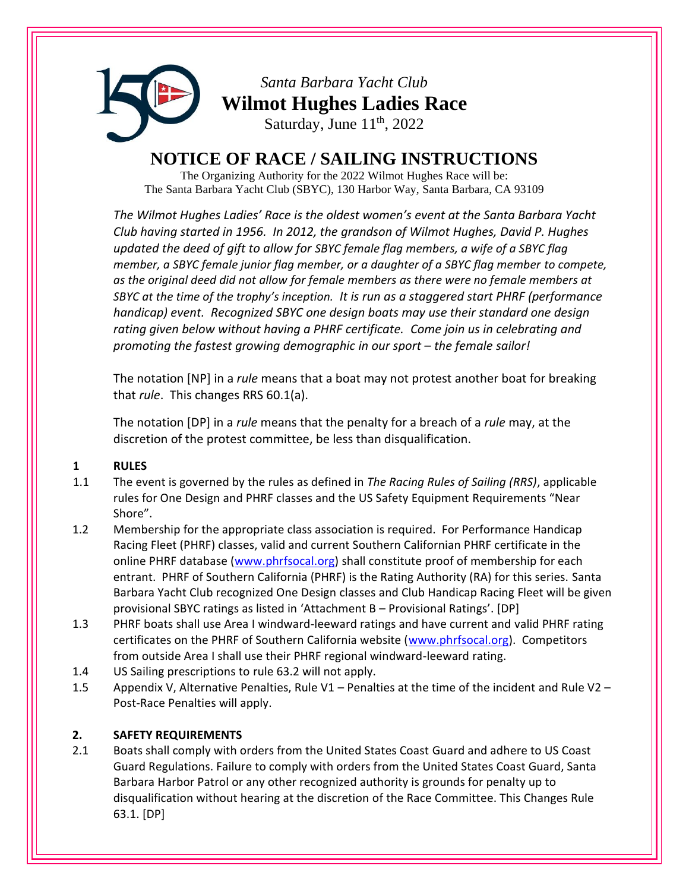

*Santa Barbara Yacht Club* **Wilmot Hughes Ladies Race** Saturday, June 11<sup>th</sup>, 2022

# **NOTICE OF RACE / SAILING INSTRUCTIONS**

The Organizing Authority for the 2022 Wilmot Hughes Race will be: The Santa Barbara Yacht Club (SBYC), 130 Harbor Way, Santa Barbara, CA 93109

*The Wilmot Hughes Ladies' Race is the oldest women's event at the Santa Barbara Yacht Club having started in 1956. In 2012, the grandson of Wilmot Hughes, David P. Hughes updated the deed of gift to allow for SBYC female flag members, a wife of a SBYC flag member, a SBYC female junior flag member, or a daughter of a SBYC flag member to compete, as the original deed did not allow for female members as there were no female members at SBYC at the time of the trophy's inception. It is run as a staggered start PHRF (performance handicap) event. Recognized SBYC one design boats may use their standard one design rating given below without having a PHRF certificate. Come join us in celebrating and promoting the fastest growing demographic in our sport – the female sailor!*

The notation [NP] in a *rule* means that a boat may not protest another boat for breaking that *rule*. This changes RRS 60.1(a).

The notation [DP] in a *rule* means that the penalty for a breach of a *rule* may, at the discretion of the protest committee, be less than disqualification.

## **1 RULES**

- 1.1 The event is governed by the rules as defined in *The Racing Rules of Sailing (RRS)*, applicable rules for One Design and PHRF classes and the US Safety Equipment Requirements "Near Shore".
- 1.2 Membership for the appropriate class association is required. For Performance Handicap Racing Fleet (PHRF) classes, valid and current Southern Californian PHRF certificate in the online PHRF database [\(www.phrfsocal.org\)](http://www.phrfsocal.org/) shall constitute proof of membership for each entrant. PHRF of Southern California (PHRF) is the Rating Authority (RA) for this series. Santa Barbara Yacht Club recognized One Design classes and Club Handicap Racing Fleet will be given provisional SBYC ratings as listed in 'Attachment B – Provisional Ratings'. [DP]
- 1.3 PHRF boats shall use Area I windward-leeward ratings and have current and valid PHRF rating certificates on the PHRF of Southern California website [\(www.phrfsocal.org\)](http://www.phrfsocal.org/). Competitors from outside Area I shall use their PHRF regional windward-leeward rating.
- 1.4 US Sailing prescriptions to rule 63.2 will not apply.
- 1.5 Appendix V, Alternative Penalties, Rule V1 Penalties at the time of the incident and Rule V2 Post-Race Penalties will apply.

## **2. SAFETY REQUIREMENTS**

2.1 Boats shall comply with orders from the United States Coast Guard and adhere to US Coast Guard Regulations. Failure to comply with orders from the United States Coast Guard, Santa Barbara Harbor Patrol or any other recognized authority is grounds for penalty up to disqualification without hearing at the discretion of the Race Committee. This Changes Rule 63.1. [DP]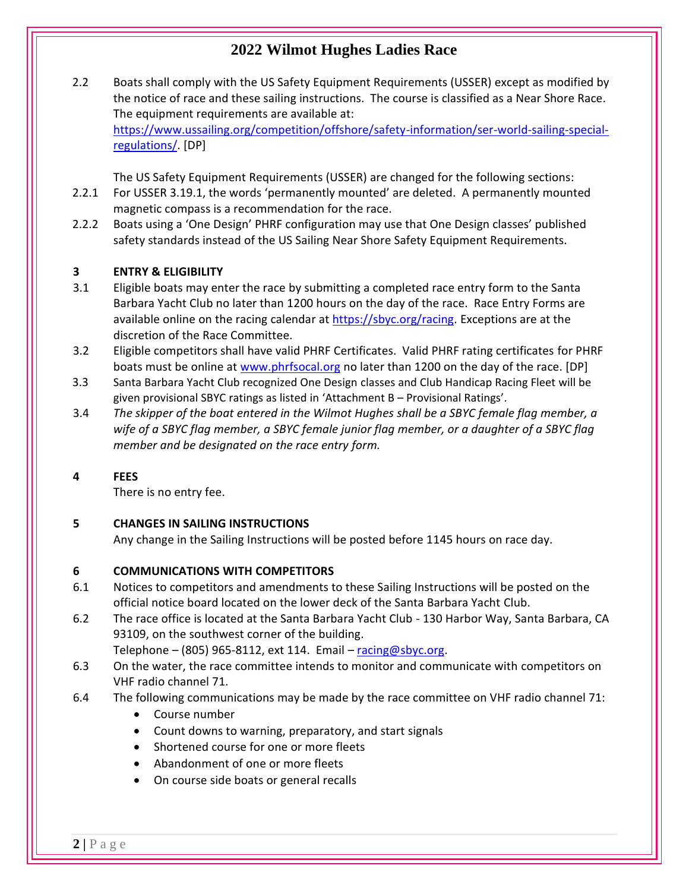2.2 Boats shall comply with the US Safety Equipment Requirements (USSER) except as modified by the notice of race and these sailing instructions. The course is classified as a Near Shore Race. The equipment requirements are available at: [https://www.ussailing.org/competition/offshore/safety-information/ser-world-sailing-special](https://www.ussailing.org/competition/offshore/safety-information/ser-world-sailing-special-regulations/)[regulations/.](https://www.ussailing.org/competition/offshore/safety-information/ser-world-sailing-special-regulations/) [DP]

The US Safety Equipment Requirements (USSER) are changed for the following sections:

- 2.2.1 For USSER 3.19.1, the words 'permanently mounted' are deleted. A permanently mounted magnetic compass is a recommendation for the race.
- 2.2.2 Boats using a 'One Design' PHRF configuration may use that One Design classes' published safety standards instead of the US Sailing Near Shore Safety Equipment Requirements.

### **3 ENTRY & ELIGIBILITY**

- 3.1 Eligible boats may enter the race by submitting a completed race entry form to the Santa Barbara Yacht Club no later than 1200 hours on the day of the race. Race Entry Forms are available online on the racing calendar at [https://sbyc.org/racing.](https://sbyc.org/racing) Exceptions are at the discretion of the Race Committee.
- 3.2 Eligible competitors shall have valid PHRF Certificates. Valid PHRF rating certificates for PHRF boats must be online at [www.phrfsocal.org](http://www.phrfsocal.org/) no later than 1200 on the day of the race. [DP]
- 3.3 Santa Barbara Yacht Club recognized One Design classes and Club Handicap Racing Fleet will be given provisional SBYC ratings as listed in 'Attachment B – Provisional Ratings'.
- 3.4 *The skipper of the boat entered in the Wilmot Hughes shall be a SBYC female flag member, a wife of a SBYC flag member, a SBYC female junior flag member, or a daughter of a SBYC flag member and be designated on the race entry form.*

### **4 FEES**

There is no entry fee.

### **5 CHANGES IN SAILING INSTRUCTIONS**

Any change in the Sailing Instructions will be posted before 1145 hours on race day.

### **6 COMMUNICATIONS WITH COMPETITORS**

- 6.1 Notices to competitors and amendments to these Sailing Instructions will be posted on the official notice board located on the lower deck of the Santa Barbara Yacht Club.
- 6.2 The race office is located at the Santa Barbara Yacht Club 130 Harbor Way, Santa Barbara, CA 93109, on the southwest corner of the building.

Telephone – (805) 965-8112, ext 114. Email – [racing@sbyc.org.](mailto:racing@sbyc.org)

- 6.3 On the water, the race committee intends to monitor and communicate with competitors on VHF radio channel 71.
- 6.4 The following communications may be made by the race committee on VHF radio channel 71:
	- Course number
	- Count downs to warning, preparatory, and start signals
	- Shortened course for one or more fleets
	- Abandonment of one or more fleets
	- On course side boats or general recalls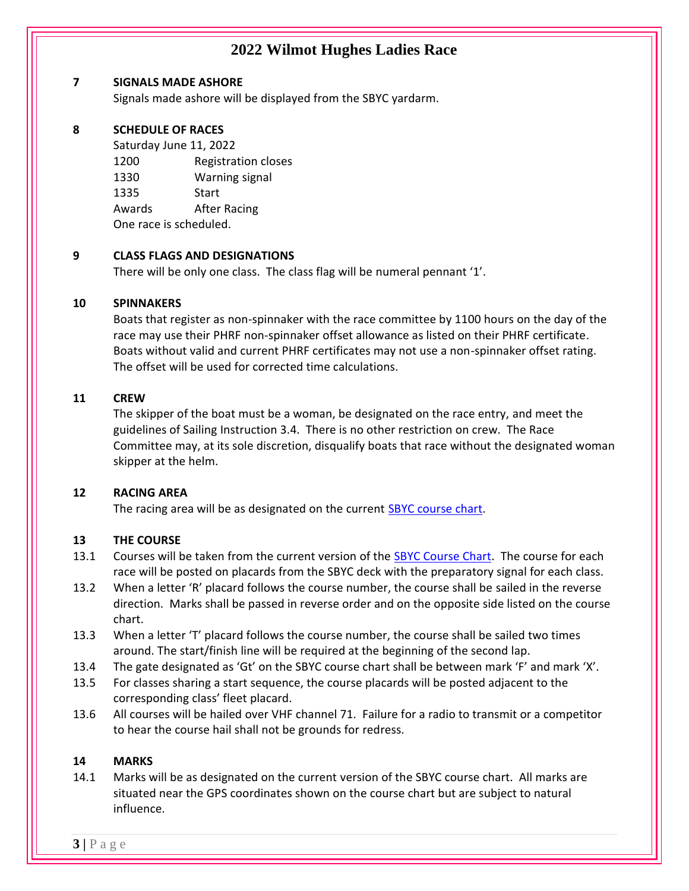#### **7 SIGNALS MADE ASHORE**

Signals made ashore will be displayed from the SBYC yardarm.

### **8 SCHEDULE OF RACES**

Saturday June 11, 2022

1200 Registration closes

1330 Warning signal

1335 Start

Awards After Racing

One race is scheduled.

### **9 CLASS FLAGS AND DESIGNATIONS**

There will be only one class. The class flag will be numeral pennant '1'.

### **10 SPINNAKERS**

Boats that register as non-spinnaker with the race committee by 1100 hours on the day of the race may use their PHRF non-spinnaker offset allowance as listed on their PHRF certificate. Boats without valid and current PHRF certificates may not use a non-spinnaker offset rating. The offset will be used for corrected time calculations.

### **11 CREW**

The skipper of the boat must be a woman, be designated on the race entry, and meet the guidelines of Sailing Instruction 3.4. There is no other restriction on crew. The Race Committee may, at its sole discretion, disqualify boats that race without the designated woman skipper at the helm.

### **12 RACING AREA**

The racing area will be as designated on the current **SBYC** course chart.

### **13 THE COURSE**

- 13.1 Courses will be taken from the current version of the [SBYC Course Chart.](https://sbyc.org/documents/10184/15928/SBYCCourseChart.pdf) The course for each race will be posted on placards from the SBYC deck with the preparatory signal for each class.
- 13.2 When a letter 'R' placard follows the course number, the course shall be sailed in the reverse direction. Marks shall be passed in reverse order and on the opposite side listed on the course chart.
- 13.3 When a letter 'T' placard follows the course number, the course shall be sailed two times around. The start/finish line will be required at the beginning of the second lap.
- 13.4 The gate designated as 'Gt' on the SBYC course chart shall be between mark 'F' and mark 'X'.
- 13.5 For classes sharing a start sequence, the course placards will be posted adjacent to the corresponding class' fleet placard.
- 13.6 All courses will be hailed over VHF channel 71. Failure for a radio to transmit or a competitor to hear the course hail shall not be grounds for redress.

## **14 MARKS**

14.1 Marks will be as designated on the current version of the SBYC course chart. All marks are situated near the GPS coordinates shown on the course chart but are subject to natural influence.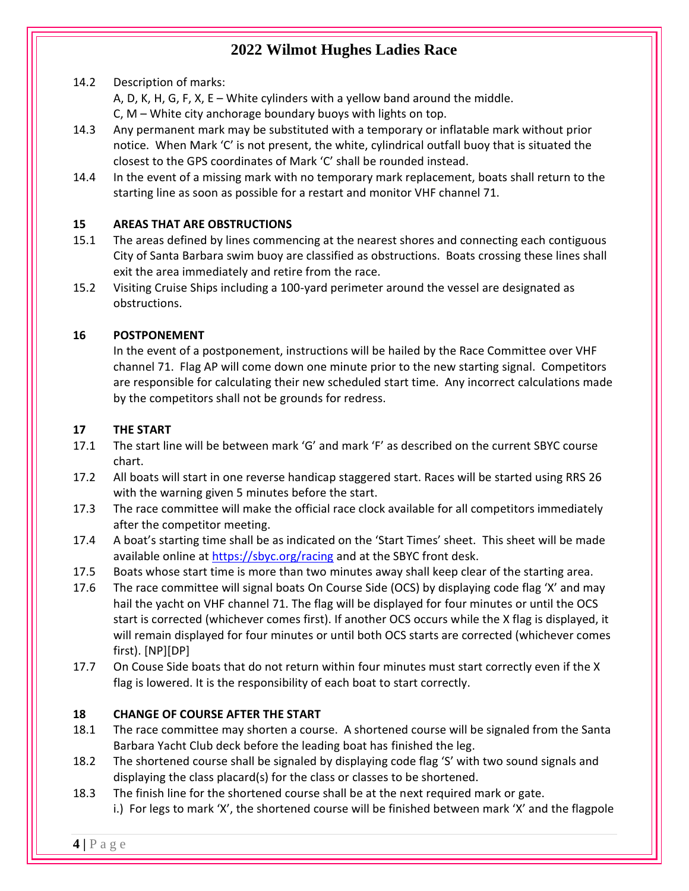## 14.2 Description of marks:

A, D, K, H, G, F, X, E – White cylinders with a yellow band around the middle.

- C, M White city anchorage boundary buoys with lights on top.
- 14.3 Any permanent mark may be substituted with a temporary or inflatable mark without prior notice. When Mark 'C' is not present, the white, cylindrical outfall buoy that is situated the closest to the GPS coordinates of Mark 'C' shall be rounded instead.
- 14.4 In the event of a missing mark with no temporary mark replacement, boats shall return to the starting line as soon as possible for a restart and monitor VHF channel 71.

## **15 AREAS THAT ARE OBSTRUCTIONS**

- 15.1 The areas defined by lines commencing at the nearest shores and connecting each contiguous City of Santa Barbara swim buoy are classified as obstructions. Boats crossing these lines shall exit the area immediately and retire from the race.
- 15.2 Visiting Cruise Ships including a 100-yard perimeter around the vessel are designated as obstructions.

## **16 POSTPONEMENT**

In the event of a postponement, instructions will be hailed by the Race Committee over VHF channel 71. Flag AP will come down one minute prior to the new starting signal. Competitors are responsible for calculating their new scheduled start time. Any incorrect calculations made by the competitors shall not be grounds for redress.

## **17 THE START**

- 17.1 The start line will be between mark 'G' and mark 'F' as described on the current SBYC course chart.
- 17.2 All boats will start in one reverse handicap staggered start. Races will be started using RRS 26 with the warning given 5 minutes before the start.
- 17.3 The race committee will make the official race clock available for all competitors immediately after the competitor meeting.
- 17.4 A boat's starting time shall be as indicated on the 'Start Times' sheet. This sheet will be made available online at <https://sbyc.org/racing> and at the SBYC front desk.
- 17.5 Boats whose start time is more than two minutes away shall keep clear of the starting area.
- 17.6 The race committee will signal boats On Course Side (OCS) by displaying code flag 'X' and may hail the yacht on VHF channel 71. The flag will be displayed for four minutes or until the OCS start is corrected (whichever comes first). If another OCS occurs while the X flag is displayed, it will remain displayed for four minutes or until both OCS starts are corrected (whichever comes first). [NP][DP]
- 17.7 On Couse Side boats that do not return within four minutes must start correctly even if the X flag is lowered. It is the responsibility of each boat to start correctly.

## **18 CHANGE OF COURSE AFTER THE START**

- 18.1 The race committee may shorten a course. A shortened course will be signaled from the Santa Barbara Yacht Club deck before the leading boat has finished the leg.
- 18.2 The shortened course shall be signaled by displaying code flag 'S' with two sound signals and displaying the class placard(s) for the class or classes to be shortened.
- 18.3 The finish line for the shortened course shall be at the next required mark or gate. i.) For legs to mark 'X', the shortened course will be finished between mark 'X' and the flagpole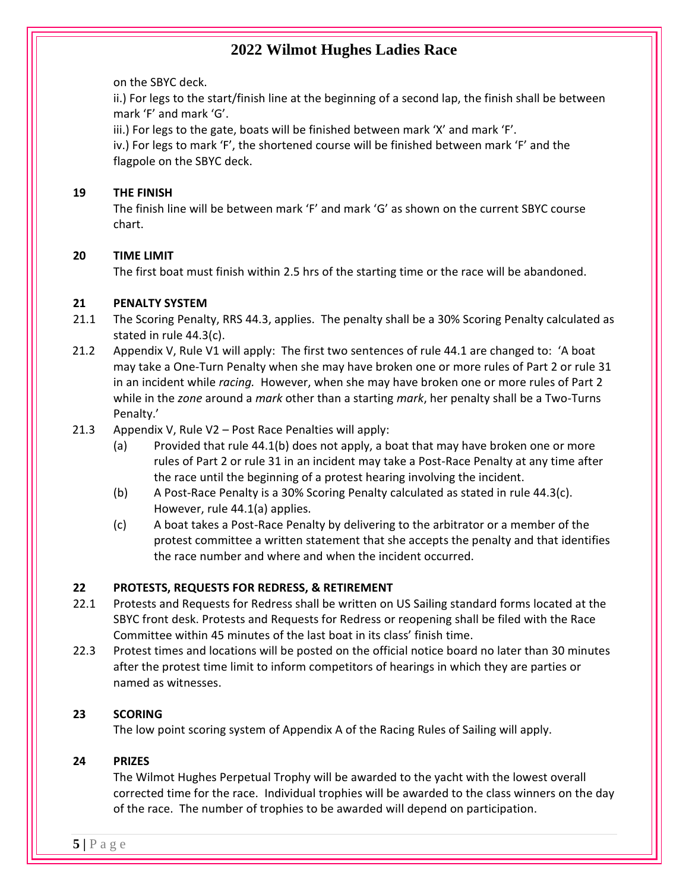on the SBYC deck.

ii.) For legs to the start/finish line at the beginning of a second lap, the finish shall be between mark 'F' and mark 'G'.

iii.) For legs to the gate, boats will be finished between mark 'X' and mark 'F'.

iv.) For legs to mark 'F', the shortened course will be finished between mark 'F' and the flagpole on the SBYC deck.

### **19 THE FINISH**

The finish line will be between mark 'F' and mark 'G' as shown on the current SBYC course chart.

### **20 TIME LIMIT**

The first boat must finish within 2.5 hrs of the starting time or the race will be abandoned.

### **21 PENALTY SYSTEM**

- 21.1 The Scoring Penalty, RRS 44.3, applies. The penalty shall be a 30% Scoring Penalty calculated as stated in rule 44.3(c).
- 21.2 Appendix V, Rule V1 will apply: The first two sentences of rule 44.1 are changed to: 'A boat may take a One-Turn Penalty when she may have broken one or more rules of Part 2 or rule 31 in an incident while *racing.* However, when she may have broken one or more rules of Part 2 while in the *zone* around a *mark* other than a starting *mark*, her penalty shall be a Two-Turns Penalty.'
- 21.3 Appendix V, Rule V2 Post Race Penalties will apply:
	- (a) Provided that rule 44.1(b) does not apply, a boat that may have broken one or more rules of Part 2 or rule 31 in an incident may take a Post-Race Penalty at any time after the race until the beginning of a protest hearing involving the incident.
	- (b) A Post-Race Penalty is a 30% Scoring Penalty calculated as stated in rule 44.3(c). However, rule 44.1(a) applies.
	- (c) A boat takes a Post-Race Penalty by delivering to the arbitrator or a member of the protest committee a written statement that she accepts the penalty and that identifies the race number and where and when the incident occurred.

## **22 PROTESTS, REQUESTS FOR REDRESS, & RETIREMENT**

- 22.1 Protests and Requests for Redress shall be written on US Sailing standard forms located at the SBYC front desk. Protests and Requests for Redress or reopening shall be filed with the Race Committee within 45 minutes of the last boat in its class' finish time.
- 22.3 Protest times and locations will be posted on the official notice board no later than 30 minutes after the protest time limit to inform competitors of hearings in which they are parties or named as witnesses.

## **23 SCORING**

The low point scoring system of Appendix A of the Racing Rules of Sailing will apply.

### **24 PRIZES**

The Wilmot Hughes Perpetual Trophy will be awarded to the yacht with the lowest overall corrected time for the race. Individual trophies will be awarded to the class winners on the day of the race. The number of trophies to be awarded will depend on participation.